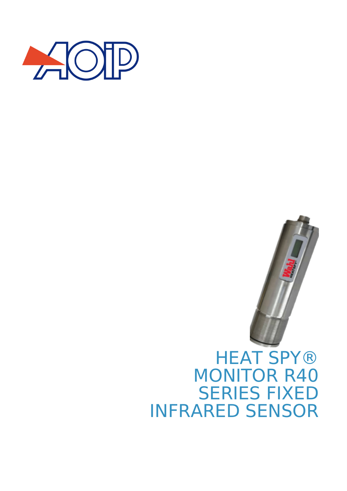

# **HEAT SPY®** MONITOR R40 SERIES FIXED INFRARED SENSOR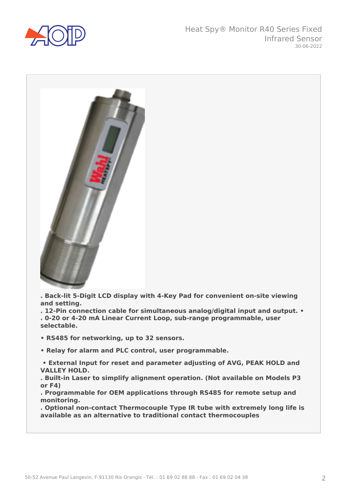



**. Back-lit 5-Digit LCD display with 4-Key Pad for convenient on-site viewing and setting.**

**. 12-Pin connection cable for simultaneous analog/digital input and output. • . 0-20 or 4-20 mA Linear Current Loop, sub-range programmable, user selectable.** 

**• RS485 for networking, up to 32 sensors.** 

**• Relay for alarm and PLC control, user programmable.**

 **• External Input for reset and parameter adjusting of AVG, PEAK HOLD and VALLEY HOLD.**

**. Built-in Laser to simplify alignment operation. (Not available on Models P3 or F4)**

**. Programmable for OEM applications through RS485 for remote setup and monitoring.**

**. Optional non-contact Thermocouple Type IR tube with extremely long life is available as an alternative to traditional contact thermocouples**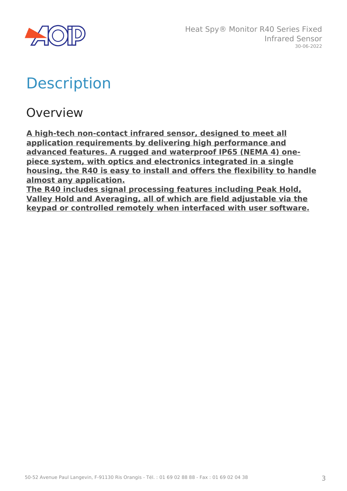

## **Description**

Overview

**A high-tech non-contact infrared sensor, designed to meet all application requirements by delivering high performance and advanced features. A rugged and waterproof IP65 (NEMA 4) onepiece system, with optics and electronics integrated in a single housing, the R40 is easy to install and offers the flexibility to handle almost any application.**

**The R40 includes signal processing features including Peak Hold, Valley Hold and Averaging, all of which are field adjustable via the keypad or controlled remotely when interfaced with user software.**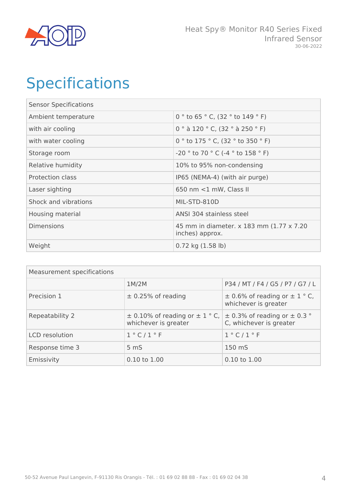

## **Specifications**

| <b>Sensor Specifications</b> |                                                              |
|------------------------------|--------------------------------------------------------------|
| Ambient temperature          | 0 ° to 65 ° C, (32 ° to 149 ° F)                             |
| with air cooling             | $0°$ à 120 ° C, (32 ° à 250 ° F)                             |
| with water cooling           | 0 ° to 175 ° C, (32 ° to 350 ° F)                            |
| Storage room                 | $-20$ ° to 70 ° C ( $-4$ ° to 158 ° F)                       |
| Relative humidity            | 10% to 95% non-condensing                                    |
| Protection class             | IP65 (NEMA-4) (with air purge)                               |
| Laser sighting               | 650 nm <1 mW, Class II                                       |
| Shock and vibrations         | MIL-STD-810D                                                 |
| Housing material             | ANSI 304 stainless steel                                     |
| <b>Dimensions</b>            | 45 mm in diameter. x 183 mm (1.77 x 7.20)<br>inches) approx. |
| Weight                       | $0.72$ kg $(1.58$ lb)                                        |

| Measurement specifications |                                                                |                                                                 |
|----------------------------|----------------------------------------------------------------|-----------------------------------------------------------------|
|                            | 1M/2M                                                          | P34 / MT / F4 / G5 / P7 / G7 / L                                |
| Precision 1                | $\pm$ 0.25% of reading                                         | $\pm$ 0.6% of reading or $\pm$ 1 ° C,<br>whichever is greater   |
| Repeatability 2            | $\pm$ 0.10% of reading or $\pm$ 1 ° C,<br>whichever is greater | $\pm$ 0.3% of reading or $\pm$ 0.3 °<br>C, whichever is greater |
| <b>LCD</b> resolution      | $1^{\circ}$ C / $1^{\circ}$ F                                  | $1^{\circ}$ C / $1^{\circ}$ F                                   |
| Response time 3            | 5 <sub>ms</sub>                                                | 150 mS                                                          |
| Emissivity                 | $0.10$ to $1.00$                                               | $0.10$ to $1.00$                                                |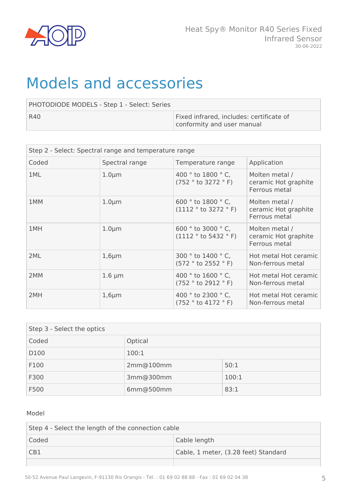

## Models and accessories

| PHOTODIODE MODELS - Step 1 - Select: Series |                                                                        |
|---------------------------------------------|------------------------------------------------------------------------|
| R40                                         | Fixed infrared, includes: certificate of<br>conformity and user manual |

| Step 2 - Select: Spectral range and temperature range |                |                                                              |                                                         |
|-------------------------------------------------------|----------------|--------------------------------------------------------------|---------------------------------------------------------|
| Coded                                                 | Spectral range | Temperature range                                            | Application                                             |
| 1ML                                                   | $1.0 \mu m$    | 400 $^{\circ}$ to 1800 $^{\circ}$ C,<br>(752 ° to 3272 ° F)  | Molten metal /<br>ceramic Hot graphite<br>Ferrous metal |
| 1MM                                                   | $1.0 \mu m$    | 600 $^{\circ}$ to 1800 $^{\circ}$ C,<br>(1112 ° to 3272 ° F) | Molten metal /<br>ceramic Hot graphite<br>Ferrous metal |
| 1MH                                                   | $1.0 \mu m$    | 600 ° to 3000 ° C,<br>(1112 ° to 5432 ° F)                   | Molten metal /<br>ceramic Hot graphite<br>Ferrous metal |
| 2ML                                                   | $1,6 \mu m$    | 300 ° to 1400 ° C,<br>(572 ° to 2552 ° F)                    | Hot metal Hot ceramic<br>Non-ferrous metal              |
| 2MM                                                   | $1.6 \mu m$    | 400 $^{\circ}$ to 1600 $^{\circ}$ C,<br>(752 ° to 2912 ° F)  | Hot metal Hot ceramic<br>Non-ferrous metal              |
| 2MH                                                   | $1,6 \mu m$    | 400 $^{\circ}$ to 2300 $^{\circ}$ C,<br>(752 ° to 4172 ° F)  | Hot metal Hot ceramic<br>Non-ferrous metal              |

| Step 3 - Select the optics |           |       |
|----------------------------|-----------|-------|
| Coded                      | Optical   |       |
| D100                       | 100:1     |       |
| F100                       | 2mm@100mm | 50:1  |
| F300                       | 3mm@300mm | 100:1 |
| F500                       | 6mm@500mm | 83:1  |

#### Model

| Step 4 - Select the length of the connection cable |                                      |
|----------------------------------------------------|--------------------------------------|
| Cable length<br>Coded                              |                                      |
| CB1                                                | Cable, 1 meter, (3.28 feet) Standard |
|                                                    |                                      |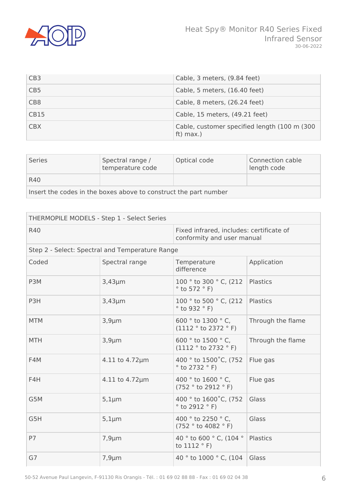

| CB <sub>3</sub>  | Cable, 3 meters, (9.84 feet)                                 |
|------------------|--------------------------------------------------------------|
| CB <sub>5</sub>  | Cable, 5 meters, (16.40 feet)                                |
| CB <sub>8</sub>  | Cable, 8 meters, (26.24 feet)                                |
| CB <sub>15</sub> | Cable, 15 meters, (49.21 feet)                               |
| <b>CBX</b>       | Cable, customer specified length (100 m (300)<br>$ft)$ max.) |

| <b>Series</b>                                                    | Spectral range /<br>temperature code | Optical code | Connection cable<br>length code |
|------------------------------------------------------------------|--------------------------------------|--------------|---------------------------------|
| R40                                                              |                                      |              |                                 |
| Insert the codes in the boxes above to construct the part number |                                      |              |                                 |

| THERMOPILE MODELS - Step 1 - Select Series |                                                 |                                                                        |                   |
|--------------------------------------------|-------------------------------------------------|------------------------------------------------------------------------|-------------------|
| R40                                        |                                                 | Fixed infrared, includes: certificate of<br>conformity and user manual |                   |
|                                            | Step 2 - Select: Spectral and Temperature Range |                                                                        |                   |
| Coded                                      | Spectral range                                  | Temperature<br>difference                                              | Application       |
| P3M                                        | $3,43 \mu m$                                    | 100 ° to 300 ° C, (212<br>$\degree$ to 572 $\degree$ F)                | Plastics          |
| P3H                                        | $3,43 \mu m$                                    | 100 ° to 500 ° C, (212<br>$\degree$ to 932 $\degree$ F)                | Plastics          |
| <b>MTM</b>                                 | $3,9 \mu m$                                     | 600 ° to 1300 ° C,<br>(1112 ° to 2372 ° F)                             | Through the flame |
| <b>MTH</b>                                 | $3,9 \mu m$                                     | 600 $^{\circ}$ to 1500 $^{\circ}$ C,<br>(1112 ° to 2732 ° F)           | Through the flame |
| F4M                                        | 4.11 to 4.72µm                                  | 400 ° to 1500 °C, (752)<br>$\degree$ to 2732 $\degree$ F)              | Flue gas          |
| F4H                                        | 4.11 to 4.72µm                                  | 400 ° to 1600 ° C,<br>(752 ° to 2912 ° F)                              | Flue gas          |
| G5M                                        | $5,1 \mu m$                                     | 400 ° to 1600°C, (752)<br>$\degree$ to 2912 $\degree$ F)               | Glass             |
| G5H                                        | $5,1 \mu m$                                     | 400 ° to 2250 ° C,<br>(752 ° to 4082 ° F)                              | Glass             |
| <b>P7</b>                                  | $7,9 \mu m$                                     | 40 ° to 600 ° C, (104 °<br>to $1112 ° F$ )                             | Plastics          |
| G7                                         | $7,9 \mu m$                                     | 40 ° to 1000 ° C, (104                                                 | Glass             |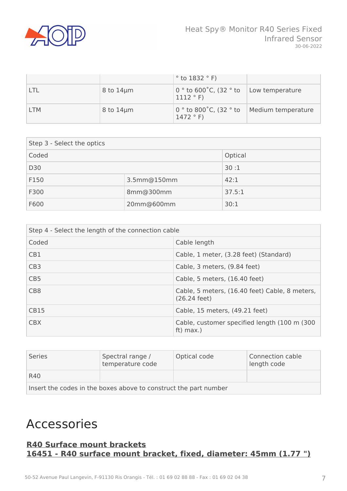

|            |                   | $\degree$ to 1832 $\degree$ F)                                        |                    |
|------------|-------------------|-----------------------------------------------------------------------|--------------------|
| l TI       | $8$ to $14 \mu m$ | 0 $^{\circ}$ to 600 $^{\circ}$ C, (32 $^{\circ}$ to<br>$1112 \circ F$ | Low temperature    |
| <b>LTM</b> | $8$ to $14 \mu m$ | 0 ° to 800 $°C$ , (32 $\degree$ to<br>1472 ° F)                       | Medium temperature |

| Step 3 - Select the optics |             |         |
|----------------------------|-------------|---------|
| Coded                      |             | Optical |
| D30                        |             | 30:1    |
| F150                       | 3.5mm@150mm | 42:1    |
| F300                       | 8mm@300mm   | 37.5:1  |
| F600                       | 20mm@600mm  | 30:1    |

| Step 4 - Select the length of the connection cable |                                                                |
|----------------------------------------------------|----------------------------------------------------------------|
| Coded                                              | Cable length                                                   |
| CB1                                                | Cable, 1 meter, (3.28 feet) (Standard)                         |
| CB <sub>3</sub>                                    | Cable, 3 meters, (9.84 feet)                                   |
| CB <sub>5</sub>                                    | Cable, 5 meters, (16.40 feet)                                  |
| CB <sub>8</sub>                                    | Cable, 5 meters, (16.40 feet) Cable, 8 meters,<br>(26.24 feet) |
| <b>CB15</b>                                        | Cable, 15 meters, (49.21 feet)                                 |
| <b>CBX</b>                                         | Cable, customer specified length (100 m (300)<br>$ft)$ max.)   |

| <b>Series</b>                                                    | Spectral range /<br>temperature code | Optical code | Connection cable<br>length code |
|------------------------------------------------------------------|--------------------------------------|--------------|---------------------------------|
| R40                                                              |                                      |              |                                 |
| Insert the codes in the boxes above to construct the part number |                                      |              |                                 |

### Accessories

#### **R40 Surface mount brackets 16451 - R40 surface mount bracket, fixed, diameter: 45mm (1.77 ")**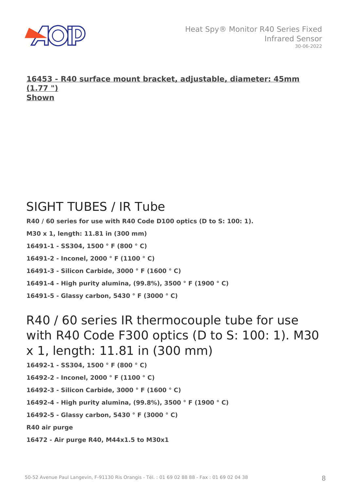

#### **16453 - R40 surface mount bracket, adjustable, diameter: 45mm (1.77 ") Shown**

### SIGHT TUBES / IR Tube

**R40 / 60 series for use with R40 Code D100 optics (D to S: 100: 1). M30 x 1, length: 11.81 in (300 mm) 16491-1 - SS304, 1500 ° F (800 ° C) 16491-2 - Inconel, 2000 ° F (1100 ° C) 16491-3 - Silicon Carbide, 3000 ° F (1600 ° C) 16491-4 - High purity alumina, (99.8%), 3500 ° F (1900 ° C) 16491-5 - Glassy carbon, 5430 ° F (3000 ° C)**

R40 / 60 series IR thermocouple tube for use with R40 Code F300 optics (D to S: 100: 1). M30 x 1, length: 11.81 in (300 mm) **16492-1 - SS304, 1500 ° F (800 ° C) 16492-2 - Inconel, 2000 ° F (1100 ° C) 16492-3 - Silicon Carbide, 3000 ° F (1600 ° C) 16492-4 - High purity alumina, (99.8%), 3500 ° F (1900 ° C) 16492-5 - Glassy carbon, 5430 ° F (3000 ° C) R40 air purge 16472 - Air purge R40, M44x1.5 to M30x1**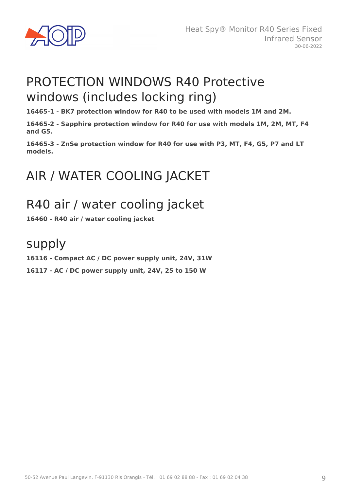

## PROTECTION WINDOWS R40 Protective windows (includes locking ring)

**16465-1 - BK7 protection window for R40 to be used with models 1M and 2M.**

**16465-2 - Sapphire protection window for R40 for use with models 1M, 2M, MT, F4 and G5.**

**16465-3 - ZnSe protection window for R40 for use with P3, MT, F4, G5, P7 and LT models.**

## AIR / WATER COOLING JACKET

## R40 air / water cooling jacket

**16460 - R40 air / water cooling jacket**

## supply

**16116 - Compact AC / DC power supply unit, 24V, 31W**

**16117 - AC / DC power supply unit, 24V, 25 to 150 W**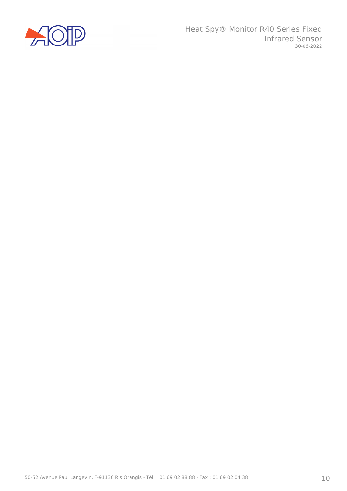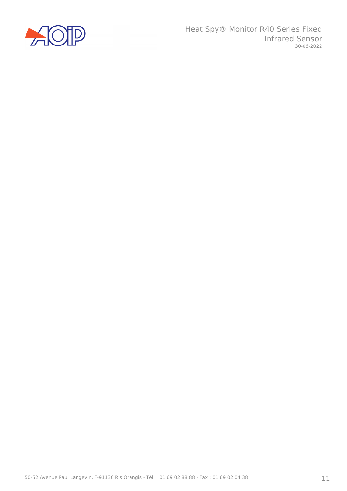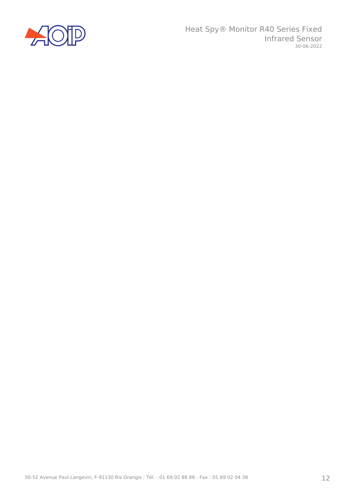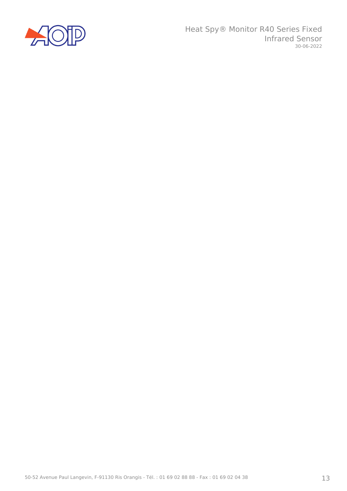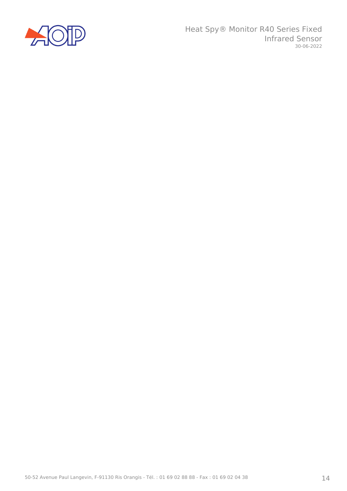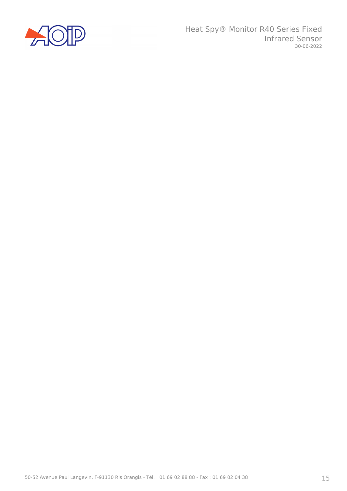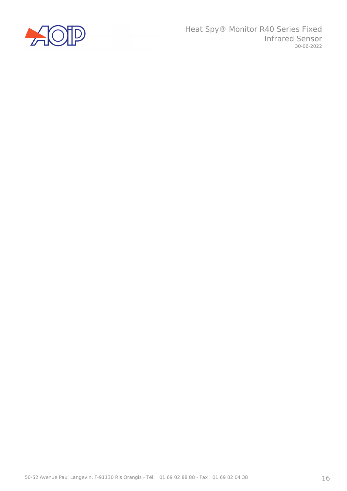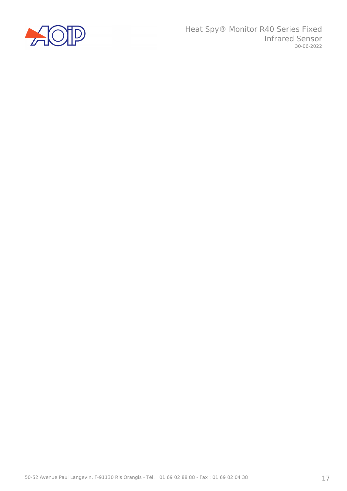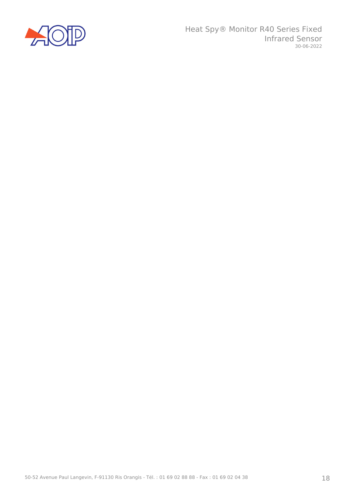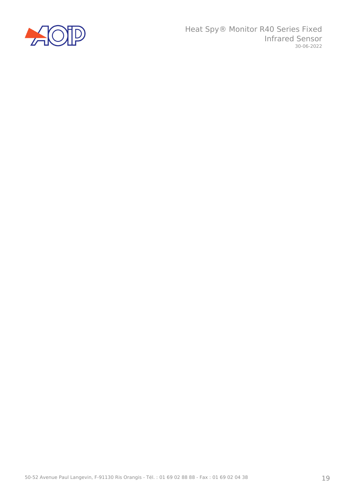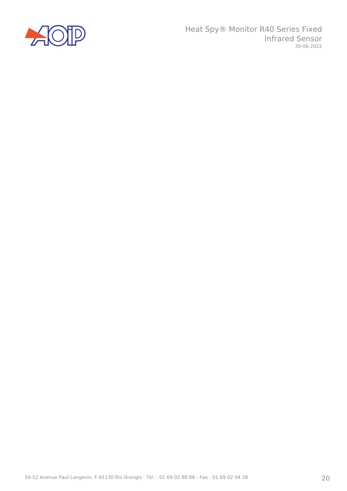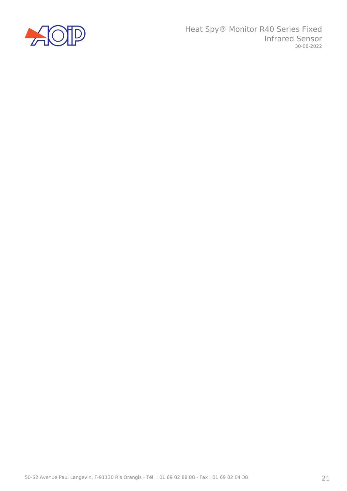